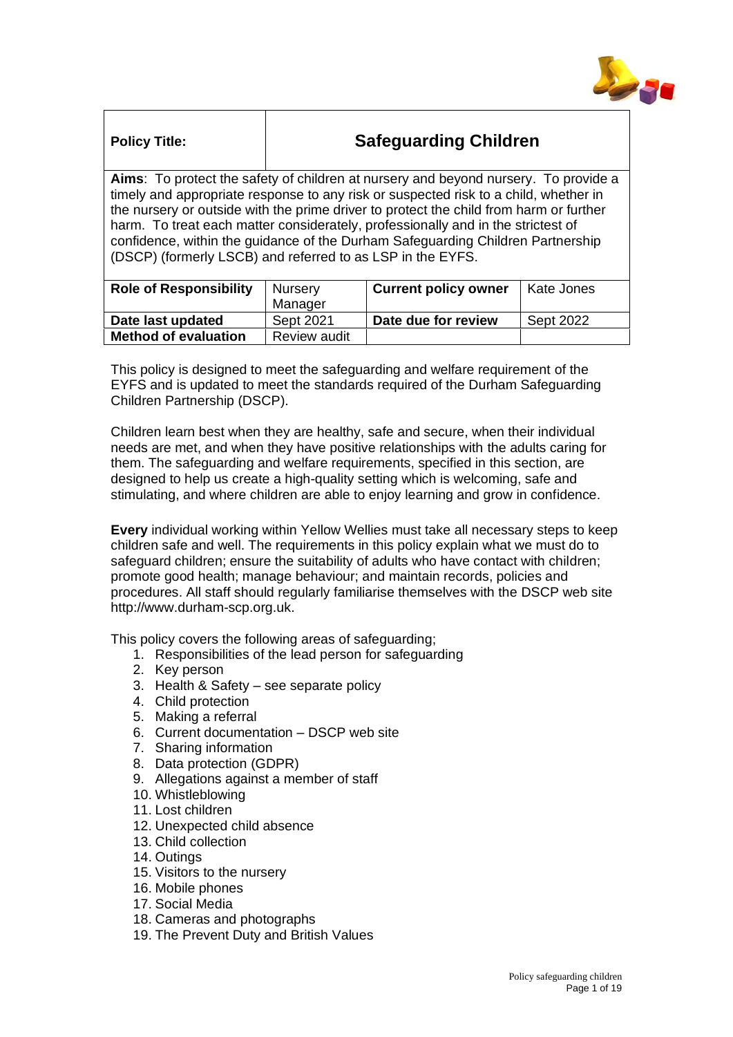

| <b>Policy Title:</b>                                                                   | <b>Safeguarding Children</b> |  |  |  |
|----------------------------------------------------------------------------------------|------------------------------|--|--|--|
| Aims: To protect the safety of children at nursery and beyond nursery. To provide a    |                              |  |  |  |
| timely and appropriate response to any risk or suspected risk to a child, whether in   |                              |  |  |  |
| the nursery or outside with the prime driver to protect the child from harm or further |                              |  |  |  |
| harm. To treat each matter considerately, professionally and in the strictest of       |                              |  |  |  |
|                                                                                        |                              |  |  |  |

confidence, within the guidance of the Durham Safeguarding Children Partnership (DSCP) (formerly LSCB) and referred to as LSP in the EYFS.

| <b>Role of Responsibility</b> | <sup>I</sup> Nursery<br>Manager | <b>Current policy owner</b> | Kate Jones |
|-------------------------------|---------------------------------|-----------------------------|------------|
| Date last updated             | Sept 2021                       | Date due for review         | Sept 2022  |
| <b>Method of evaluation</b>   | Review audit                    |                             |            |

This policy is designed to meet the safeguarding and welfare requirement of the EYFS and is updated to meet the standards required of the Durham Safeguarding Children Partnership (DSCP).

Children learn best when they are healthy, safe and secure, when their individual needs are met, and when they have positive relationships with the adults caring for them. The safeguarding and welfare requirements, specified in this section, are designed to help us create a high-quality setting which is welcoming, safe and stimulating, and where children are able to enjoy learning and grow in confidence.

**Every** individual working within Yellow Wellies must take all necessary steps to keep children safe and well. The requirements in this policy explain what we must do to safeguard children; ensure the suitability of adults who have contact with children; promote good health; manage behaviour; and maintain records, policies and procedures. All staff should regularly familiarise themselves with the DSCP web site http://www.durham-scp.org.uk.

This policy covers the following areas of safeguarding;

- 1. Responsibilities of the lead person for safeguarding
- 2. Key person
- 3. Health & Safety see separate policy
- 4. Child protection
- 5. Making a referral
- 6. Current documentation DSCP web site
- 7. Sharing information
- 8. Data protection (GDPR)
- 9. Allegations against a member of staff
- 10. Whistleblowing
- 11. Lost children
- 12. Unexpected child absence
- 13. Child collection
- 14. Outings
- 15. Visitors to the nursery
- 16. Mobile phones
- 17. Social Media
- 18. Cameras and photographs
- 19. The Prevent Duty and British Values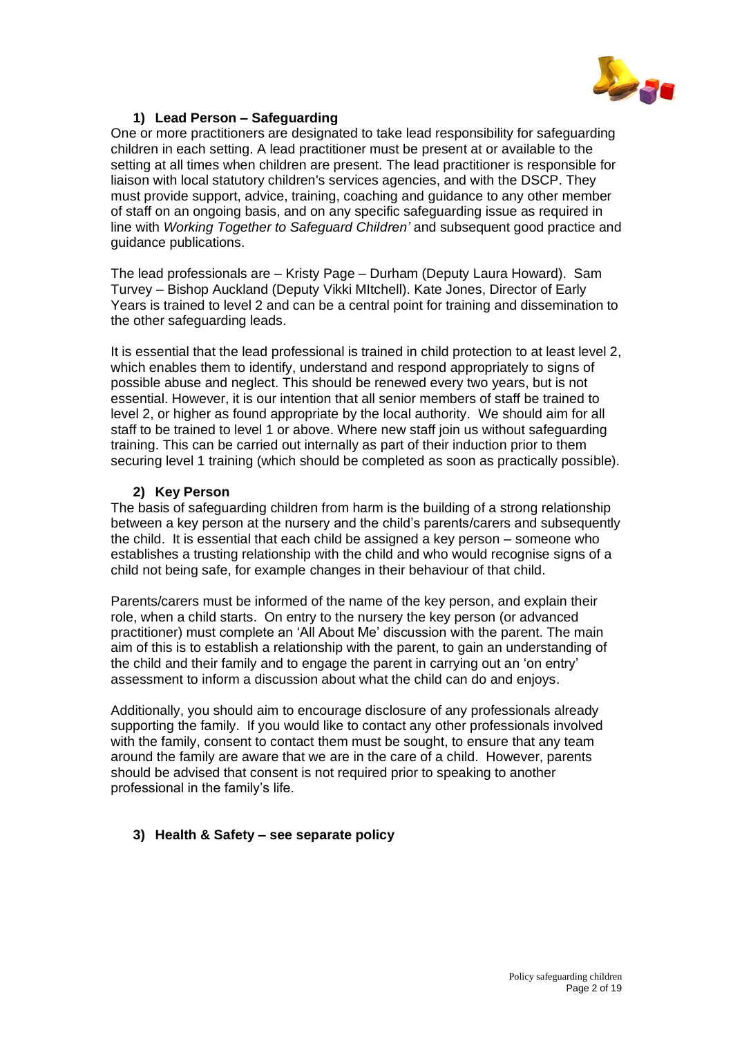

# **1) Lead Person – Safeguarding**

One or more practitioners are designated to take lead responsibility for safeguarding children in each setting. A lead practitioner must be present at or available to the setting at all times when children are present. The lead practitioner is responsible for liaison with local statutory children's services agencies, and with the DSCP. They must provide support, advice, training, coaching and guidance to any other member of staff on an ongoing basis, and on any specific safeguarding issue as required in line with *Working Together to Safeguard Children'* and subsequent good practice and guidance publications.

The lead professionals are – Kristy Page – Durham (Deputy Laura Howard). Sam Turvey – Bishop Auckland (Deputy Vikki MItchell). Kate Jones, Director of Early Years is trained to level 2 and can be a central point for training and dissemination to the other safeguarding leads.

It is essential that the lead professional is trained in child protection to at least level 2, which enables them to identify, understand and respond appropriately to signs of possible abuse and neglect. This should be renewed every two years, but is not essential. However, it is our intention that all senior members of staff be trained to level 2, or higher as found appropriate by the local authority. We should aim for all staff to be trained to level 1 or above. Where new staff join us without safeguarding training. This can be carried out internally as part of their induction prior to them securing level 1 training (which should be completed as soon as practically possible).

# **2) Key Person**

The basis of safeguarding children from harm is the building of a strong relationship between a key person at the nursery and the child's parents/carers and subsequently the child. It is essential that each child be assigned a key person – someone who establishes a trusting relationship with the child and who would recognise signs of a child not being safe, for example changes in their behaviour of that child.

Parents/carers must be informed of the name of the key person, and explain their role, when a child starts. On entry to the nursery the key person (or advanced practitioner) must complete an 'All About Me' discussion with the parent. The main aim of this is to establish a relationship with the parent, to gain an understanding of the child and their family and to engage the parent in carrying out an 'on entry' assessment to inform a discussion about what the child can do and enjoys.

Additionally, you should aim to encourage disclosure of any professionals already supporting the family. If you would like to contact any other professionals involved with the family, consent to contact them must be sought, to ensure that any team around the family are aware that we are in the care of a child. However, parents should be advised that consent is not required prior to speaking to another professional in the family's life.

# **3) Health & Safety – see separate policy**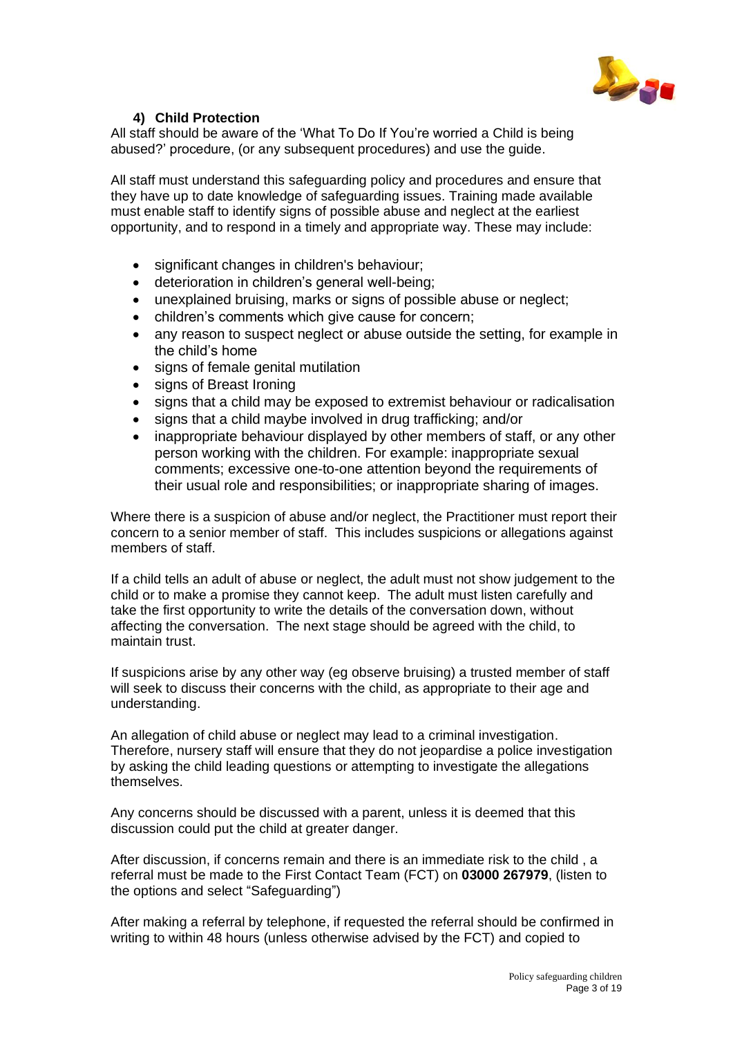

# **4) Child Protection**

All staff should be aware of the 'What To Do If You're worried a Child is being abused?' procedure, (or any subsequent procedures) and use the guide.

All staff must understand this safeguarding policy and procedures and ensure that they have up to date knowledge of safeguarding issues. Training made available must enable staff to identify signs of possible abuse and neglect at the earliest opportunity, and to respond in a timely and appropriate way. These may include:

- significant changes in children's behaviour:
- deterioration in children's general well-being;
- unexplained bruising, marks or signs of possible abuse or neglect;
- children's comments which give cause for concern;
- any reason to suspect neglect or abuse outside the setting, for example in the child's home
- signs of female genital mutilation
- signs of Breast Ironing
- signs that a child may be exposed to extremist behaviour or radicalisation
- signs that a child maybe involved in drug trafficking; and/or
- inappropriate behaviour displayed by other members of staff, or any other person working with the children. For example: inappropriate sexual comments; excessive one-to-one attention beyond the requirements of their usual role and responsibilities; or inappropriate sharing of images.

Where there is a suspicion of abuse and/or neglect, the Practitioner must report their concern to a senior member of staff. This includes suspicions or allegations against members of staff.

If a child tells an adult of abuse or neglect, the adult must not show judgement to the child or to make a promise they cannot keep. The adult must listen carefully and take the first opportunity to write the details of the conversation down, without affecting the conversation. The next stage should be agreed with the child, to maintain trust.

If suspicions arise by any other way (eg observe bruising) a trusted member of staff will seek to discuss their concerns with the child, as appropriate to their age and understanding.

An allegation of child abuse or neglect may lead to a criminal investigation. Therefore, nursery staff will ensure that they do not jeopardise a police investigation by asking the child leading questions or attempting to investigate the allegations themselves.

Any concerns should be discussed with a parent, unless it is deemed that this discussion could put the child at greater danger.

After discussion, if concerns remain and there is an immediate risk to the child , a referral must be made to the First Contact Team (FCT) on **03000 267979**, (listen to the options and select "Safeguarding")

After making a referral by telephone, if requested the referral should be confirmed in writing to within 48 hours (unless otherwise advised by the FCT) and copied to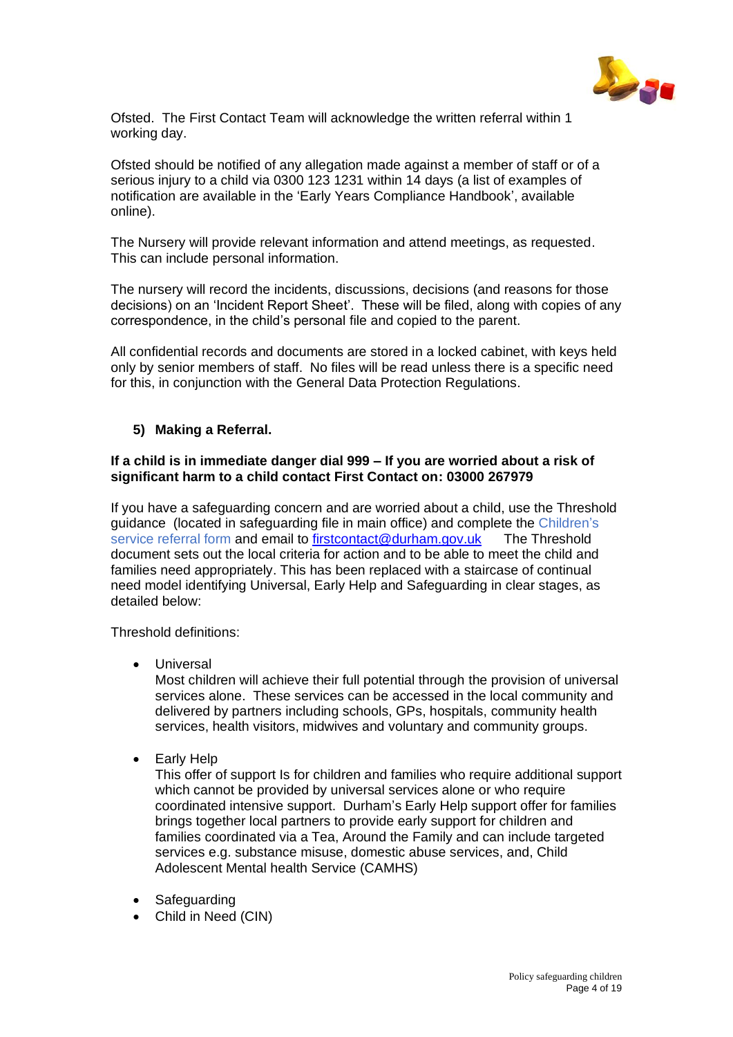

Ofsted. The First Contact Team will acknowledge the written referral within 1 working day.

Ofsted should be notified of any allegation made against a member of staff or of a serious injury to a child via 0300 123 1231 within 14 days (a list of examples of notification are available in the 'Early Years Compliance Handbook', available online).

The Nursery will provide relevant information and attend meetings, as requested. This can include personal information.

The nursery will record the incidents, discussions, decisions (and reasons for those decisions) on an 'Incident Report Sheet'. These will be filed, along with copies of any correspondence, in the child's personal file and copied to the parent.

All confidential records and documents are stored in a locked cabinet, with keys held only by senior members of staff. No files will be read unless there is a specific need for this, in conjunction with the General Data Protection Regulations.

# **5) Making a Referral.**

## **If a child is in immediate danger dial 999 – If you are worried about a risk of significant harm to a child contact First Contact on: 03000 267979**

If you have a safeguarding concern and are worried about a child, use the Threshold guidance (located in safeguarding file in main office) and complete the Children's service referral form and email to [firstcontact@durham.gov.uk](mailto:firstcontact@durham.gov.uk) The Threshold document sets out the local criteria for action and to be able to meet the child and families need appropriately. This has been replaced with a staircase of continual need model identifying Universal, Early Help and Safeguarding in clear stages, as detailed below:

Threshold definitions:

**Universal** 

Most children will achieve their full potential through the provision of universal services alone. These services can be accessed in the local community and delivered by partners including schools, GPs, hospitals, community health services, health visitors, midwives and voluntary and community groups.

• Early Help

This offer of support Is for children and families who require additional support which cannot be provided by universal services alone or who require coordinated intensive support. Durham's Early Help support offer for families brings together local partners to provide early support for children and families coordinated via a Tea, Around the Family and can include targeted services e.g. substance misuse, domestic abuse services, and, Child Adolescent Mental health Service (CAMHS)

- Safeguarding
- Child in Need (CIN)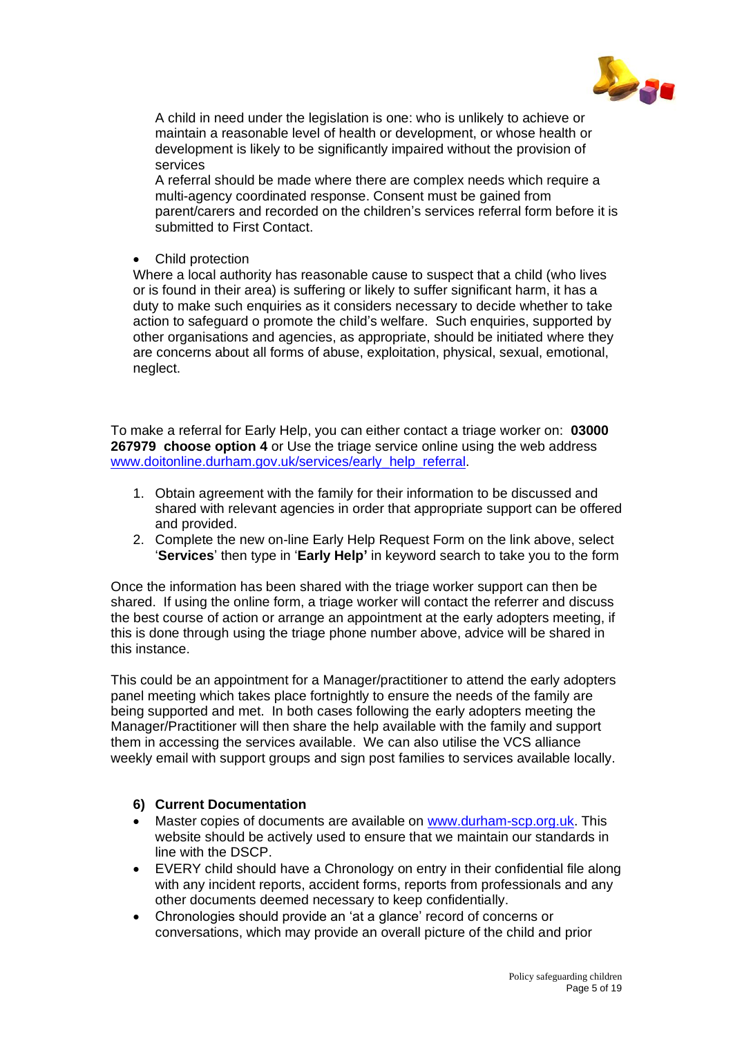

A child in need under the legislation is one: who is unlikely to achieve or maintain a reasonable level of health or development, or whose health or development is likely to be significantly impaired without the provision of services

A referral should be made where there are complex needs which require a multi-agency coordinated response. Consent must be gained from parent/carers and recorded on the children's services referral form before it is submitted to First Contact.

• Child protection

Where a local authority has reasonable cause to suspect that a child (who lives or is found in their area) is suffering or likely to suffer significant harm, it has a duty to make such enquiries as it considers necessary to decide whether to take action to safeguard o promote the child's welfare. Such enquiries, supported by other organisations and agencies, as appropriate, should be initiated where they are concerns about all forms of abuse, exploitation, physical, sexual, emotional, neglect.

To make a referral for Early Help, you can either contact a triage worker on: **03000 267979 choose option 4** or Use the triage service online using the web address [www.doitonline.durham.gov.uk/services/early\\_help\\_referral.](http://www.doitonline.durham.gov.uk/services/early_help_referral)

- 1. Obtain agreement with the family for their information to be discussed and shared with relevant agencies in order that appropriate support can be offered and provided.
- 2. Complete the new on-line Early Help Request Form on the link above, select '**Services**' then type in '**Early Help'** in keyword search to take you to the form

Once the information has been shared with the triage worker support can then be shared. If using the online form, a triage worker will contact the referrer and discuss the best course of action or arrange an appointment at the early adopters meeting, if this is done through using the triage phone number above, advice will be shared in this instance.

This could be an appointment for a Manager/practitioner to attend the early adopters panel meeting which takes place fortnightly to ensure the needs of the family are being supported and met. In both cases following the early adopters meeting the Manager/Practitioner will then share the help available with the family and support them in accessing the services available. We can also utilise the VCS alliance weekly email with support groups and sign post families to services available locally.

# **6) Current Documentation**

- Master copies of documents are available on [www.durham-scp.org.uk.](http://www.durham-scp.org.uk/) This website should be actively used to ensure that we maintain our standards in line with the DSCP.
- EVERY child should have a Chronology on entry in their confidential file along with any incident reports, accident forms, reports from professionals and any other documents deemed necessary to keep confidentially.
- Chronologies should provide an 'at a glance' record of concerns or conversations, which may provide an overall picture of the child and prior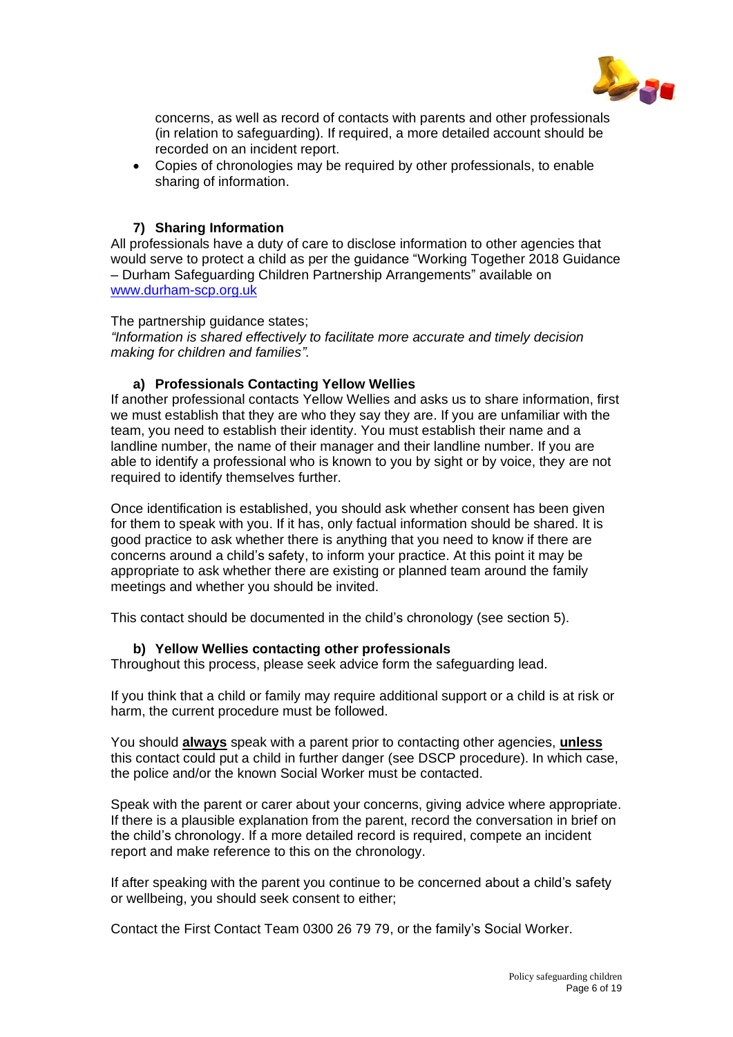

concerns, as well as record of contacts with parents and other professionals (in relation to safeguarding). If required, a more detailed account should be recorded on an incident report.

• Copies of chronologies may be required by other professionals, to enable sharing of information.

# **7) Sharing Information**

All professionals have a duty of care to disclose information to other agencies that would serve to protect a child as per the guidance "Working Together 2018 Guidance – Durham Safeguarding Children Partnership Arrangements" available on [www.durham-scp.org.uk](http://www.durham-scp.org.uk/)

## The partnership guidance states;

*"Information is shared effectively to facilitate more accurate and timely decision making for children and families".*

## **a) Professionals Contacting Yellow Wellies**

If another professional contacts Yellow Wellies and asks us to share information, first we must establish that they are who they say they are. If you are unfamiliar with the team, you need to establish their identity. You must establish their name and a landline number, the name of their manager and their landline number. If you are able to identify a professional who is known to you by sight or by voice, they are not required to identify themselves further.

Once identification is established, you should ask whether consent has been given for them to speak with you. If it has, only factual information should be shared. It is good practice to ask whether there is anything that you need to know if there are concerns around a child's safety, to inform your practice. At this point it may be appropriate to ask whether there are existing or planned team around the family meetings and whether you should be invited.

This contact should be documented in the child's chronology (see section 5).

# **b) Yellow Wellies contacting other professionals**

Throughout this process, please seek advice form the safeguarding lead.

If you think that a child or family may require additional support or a child is at risk or harm, the current procedure must be followed.

You should **always** speak with a parent prior to contacting other agencies, **unless** this contact could put a child in further danger (see DSCP procedure). In which case, the police and/or the known Social Worker must be contacted.

Speak with the parent or carer about your concerns, giving advice where appropriate. If there is a plausible explanation from the parent, record the conversation in brief on the child's chronology. If a more detailed record is required, compete an incident report and make reference to this on the chronology.

If after speaking with the parent you continue to be concerned about a child's safety or wellbeing, you should seek consent to either;

Contact the First Contact Team 0300 26 79 79, or the family's Social Worker.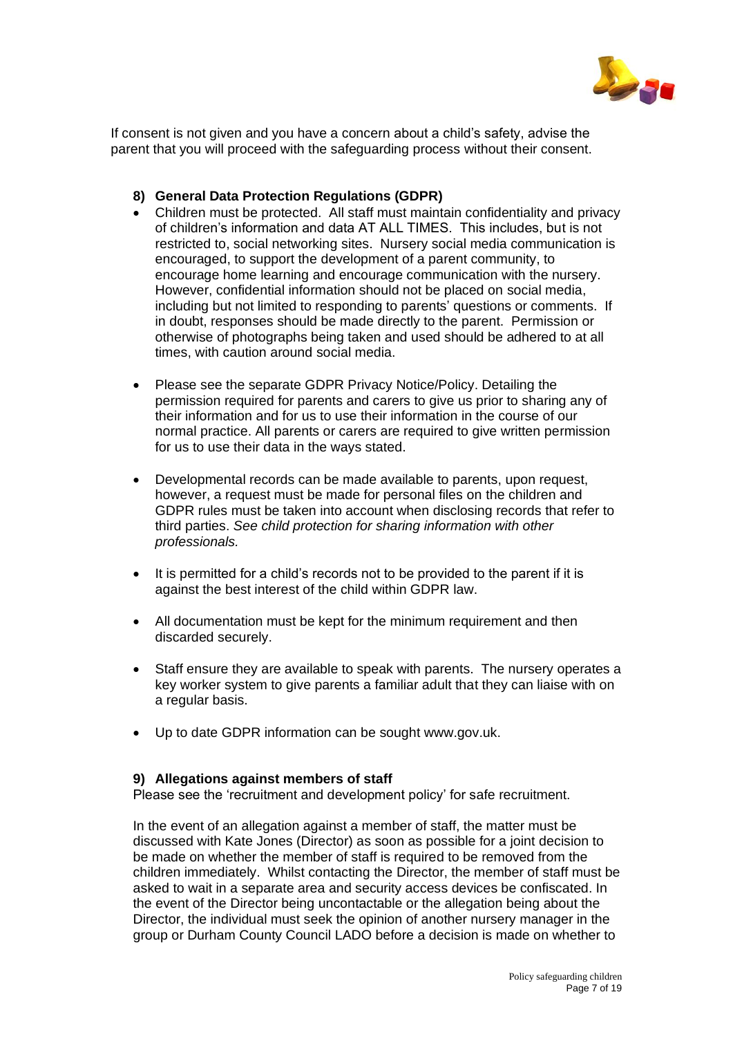

If consent is not given and you have a concern about a child's safety, advise the parent that you will proceed with the safeguarding process without their consent.

## **8) General Data Protection Regulations (GDPR)**

- Children must be protected. All staff must maintain confidentiality and privacy of children's information and data AT ALL TIMES. This includes, but is not restricted to, social networking sites. Nursery social media communication is encouraged, to support the development of a parent community, to encourage home learning and encourage communication with the nursery. However, confidential information should not be placed on social media, including but not limited to responding to parents' questions or comments. If in doubt, responses should be made directly to the parent. Permission or otherwise of photographs being taken and used should be adhered to at all times, with caution around social media.
- Please see the separate GDPR Privacy Notice/Policy. Detailing the permission required for parents and carers to give us prior to sharing any of their information and for us to use their information in the course of our normal practice. All parents or carers are required to give written permission for us to use their data in the ways stated.
- Developmental records can be made available to parents, upon request, however, a request must be made for personal files on the children and GDPR rules must be taken into account when disclosing records that refer to third parties. *See child protection for sharing information with other professionals.*
- It is permitted for a child's records not to be provided to the parent if it is against the best interest of the child within GDPR law.
- All documentation must be kept for the minimum requirement and then discarded securely.
- Staff ensure they are available to speak with parents. The nursery operates a key worker system to give parents a familiar adult that they can liaise with on a regular basis.
- Up to date GDPR information can be sought www.gov.uk.

#### **9) Allegations against members of staff**

Please see the 'recruitment and development policy' for safe recruitment.

In the event of an allegation against a member of staff, the matter must be discussed with Kate Jones (Director) as soon as possible for a joint decision to be made on whether the member of staff is required to be removed from the children immediately. Whilst contacting the Director, the member of staff must be asked to wait in a separate area and security access devices be confiscated. In the event of the Director being uncontactable or the allegation being about the Director, the individual must seek the opinion of another nursery manager in the group or Durham County Council LADO before a decision is made on whether to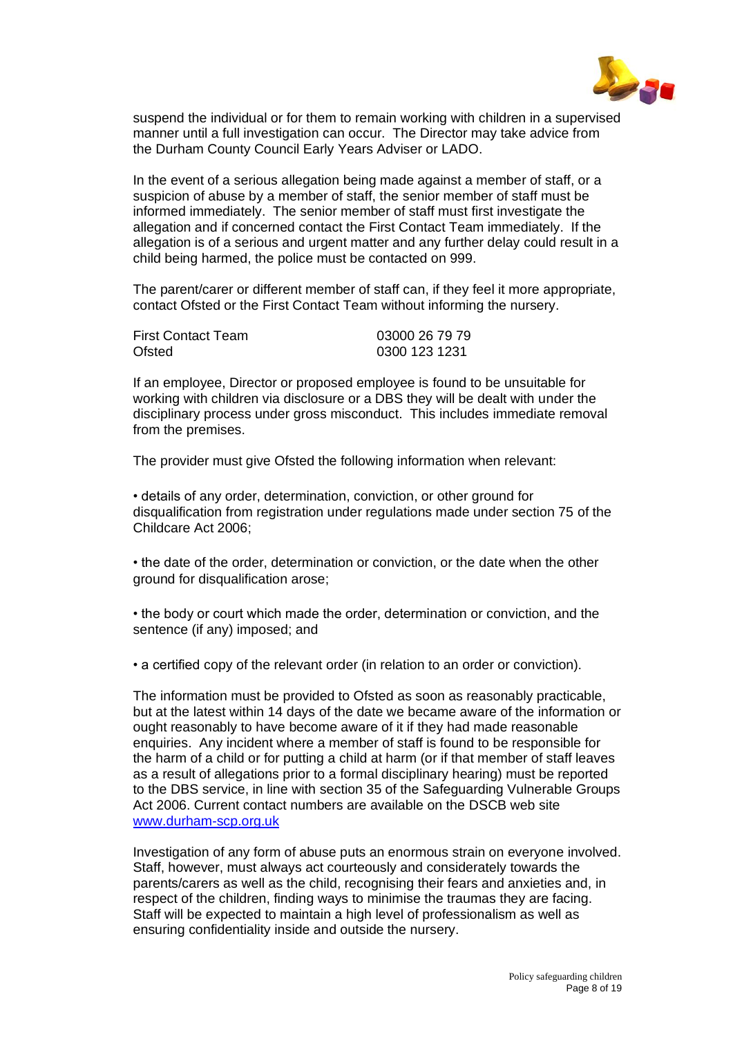

suspend the individual or for them to remain working with children in a supervised manner until a full investigation can occur. The Director may take advice from the Durham County Council Early Years Adviser or LADO.

In the event of a serious allegation being made against a member of staff, or a suspicion of abuse by a member of staff, the senior member of staff must be informed immediately. The senior member of staff must first investigate the allegation and if concerned contact the First Contact Team immediately. If the allegation is of a serious and urgent matter and any further delay could result in a child being harmed, the police must be contacted on 999.

The parent/carer or different member of staff can, if they feel it more appropriate, contact Ofsted or the First Contact Team without informing the nursery.

| <b>First Contact Team</b> | 03000 26 79 79 |
|---------------------------|----------------|
| Ofsted                    | 0300 123 1231  |

If an employee, Director or proposed employee is found to be unsuitable for working with children via disclosure or a DBS they will be dealt with under the disciplinary process under gross misconduct. This includes immediate removal from the premises.

The provider must give Ofsted the following information when relevant:

• details of any order, determination, conviction, or other ground for disqualification from registration under regulations made under section 75 of the Childcare Act 2006;

• the date of the order, determination or conviction, or the date when the other ground for disqualification arose;

• the body or court which made the order, determination or conviction, and the sentence (if any) imposed; and

• a certified copy of the relevant order (in relation to an order or conviction).

The information must be provided to Ofsted as soon as reasonably practicable, but at the latest within 14 days of the date we became aware of the information or ought reasonably to have become aware of it if they had made reasonable enquiries. Any incident where a member of staff is found to be responsible for the harm of a child or for putting a child at harm (or if that member of staff leaves as a result of allegations prior to a formal disciplinary hearing) must be reported to the DBS service, in line with section 35 of the Safeguarding Vulnerable Groups Act 2006. Current contact numbers are available on the DSCB web site [www.durham-scp.org.uk](http://www.durham-scp.org.uk/)

Investigation of any form of abuse puts an enormous strain on everyone involved. Staff, however, must always act courteously and considerately towards the parents/carers as well as the child, recognising their fears and anxieties and, in respect of the children, finding ways to minimise the traumas they are facing. Staff will be expected to maintain a high level of professionalism as well as ensuring confidentiality inside and outside the nursery.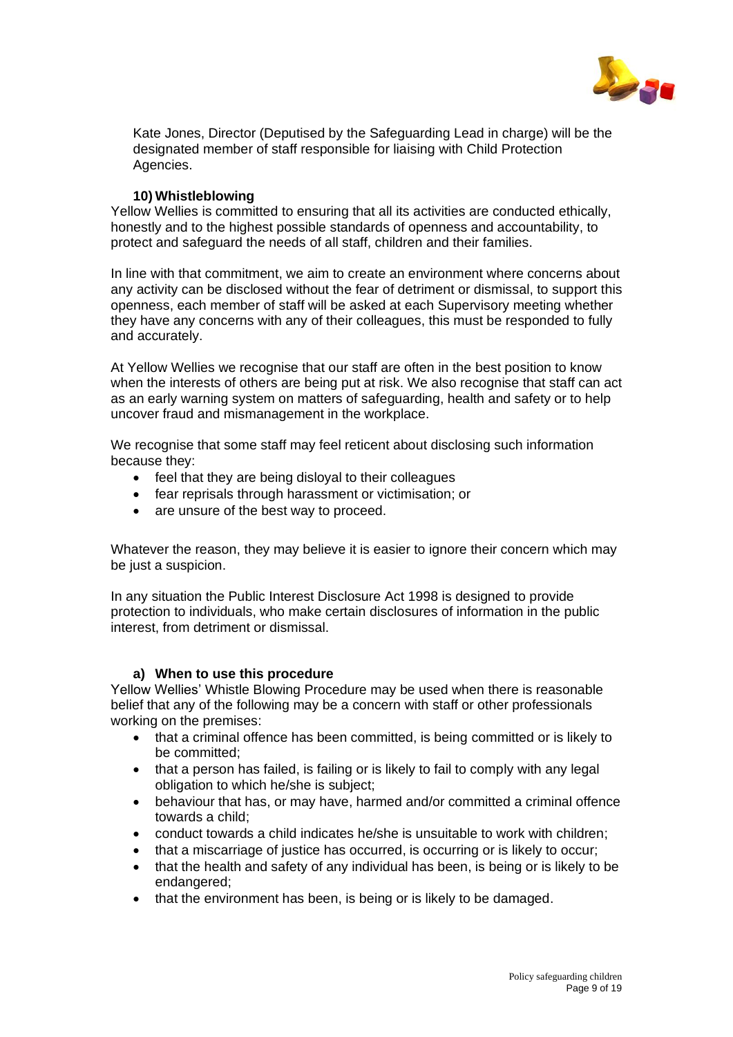

Kate Jones, Director (Deputised by the Safeguarding Lead in charge) will be the designated member of staff responsible for liaising with Child Protection Agencies.

## **10) Whistleblowing**

Yellow Wellies is committed to ensuring that all its activities are conducted ethically, honestly and to the highest possible standards of openness and accountability, to protect and safeguard the needs of all staff, children and their families.

In line with that commitment, we aim to create an environment where concerns about any activity can be disclosed without the fear of detriment or dismissal, to support this openness, each member of staff will be asked at each Supervisory meeting whether they have any concerns with any of their colleagues, this must be responded to fully and accurately.

At Yellow Wellies we recognise that our staff are often in the best position to know when the interests of others are being put at risk. We also recognise that staff can act as an early warning system on matters of safeguarding, health and safety or to help uncover fraud and mismanagement in the workplace.

We recognise that some staff may feel reticent about disclosing such information because they:

- feel that they are being disloyal to their colleagues
- fear reprisals through harassment or victimisation; or
- are unsure of the best way to proceed.

Whatever the reason, they may believe it is easier to ignore their concern which may be just a suspicion.

In any situation the Public Interest Disclosure Act 1998 is designed to provide protection to individuals, who make certain disclosures of information in the public interest, from detriment or dismissal.

#### **a) When to use this procedure**

Yellow Wellies' Whistle Blowing Procedure may be used when there is reasonable belief that any of the following may be a concern with staff or other professionals working on the premises:

- that a criminal offence has been committed, is being committed or is likely to be committed;
- that a person has failed, is failing or is likely to fail to comply with any legal obligation to which he/she is subject;
- behaviour that has, or may have, harmed and/or committed a criminal offence towards a child;
- conduct towards a child indicates he/she is unsuitable to work with children;
- that a miscarriage of justice has occurred, is occurring or is likely to occur;
- that the health and safety of any individual has been, is being or is likely to be endangered;
- that the environment has been, is being or is likely to be damaged.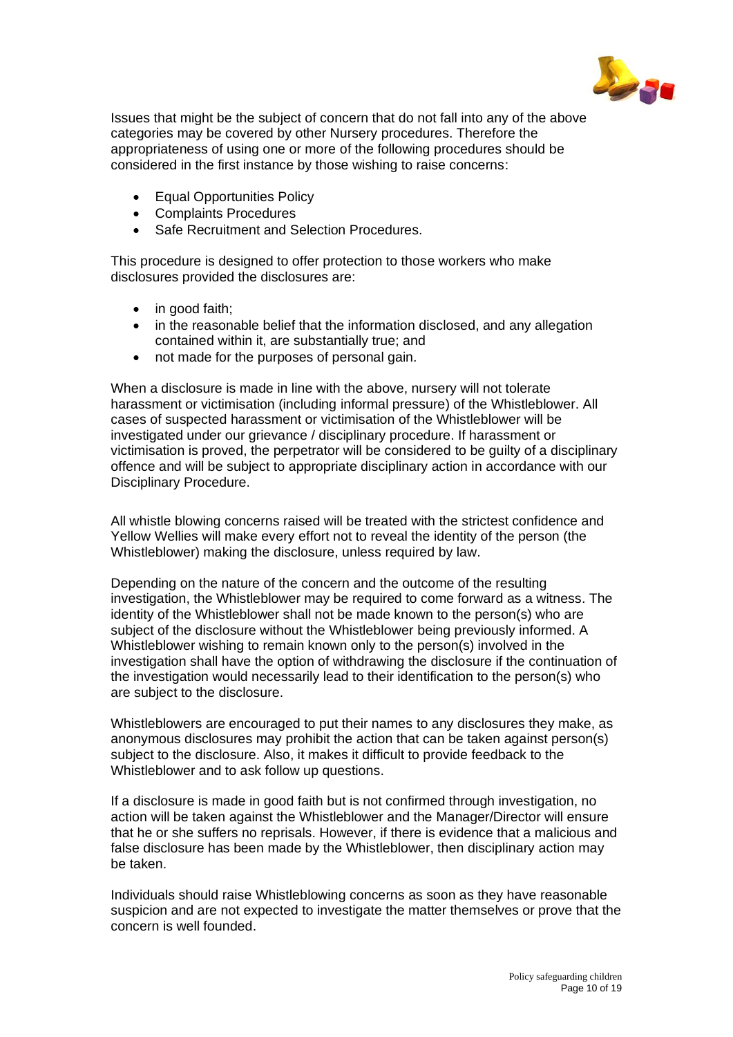

Issues that might be the subject of concern that do not fall into any of the above categories may be covered by other Nursery procedures. Therefore the appropriateness of using one or more of the following procedures should be considered in the first instance by those wishing to raise concerns:

- **Equal Opportunities Policy**
- Complaints Procedures
- Safe Recruitment and Selection Procedures.

This procedure is designed to offer protection to those workers who make disclosures provided the disclosures are:

- in good faith:
- in the reasonable belief that the information disclosed, and any allegation contained within it, are substantially true; and
- not made for the purposes of personal gain.

When a disclosure is made in line with the above, nursery will not tolerate harassment or victimisation (including informal pressure) of the Whistleblower. All cases of suspected harassment or victimisation of the Whistleblower will be investigated under our grievance / disciplinary procedure. If harassment or victimisation is proved, the perpetrator will be considered to be guilty of a disciplinary offence and will be subject to appropriate disciplinary action in accordance with our Disciplinary Procedure.

All whistle blowing concerns raised will be treated with the strictest confidence and Yellow Wellies will make every effort not to reveal the identity of the person (the Whistleblower) making the disclosure, unless required by law.

Depending on the nature of the concern and the outcome of the resulting investigation, the Whistleblower may be required to come forward as a witness. The identity of the Whistleblower shall not be made known to the person(s) who are subject of the disclosure without the Whistleblower being previously informed. A Whistleblower wishing to remain known only to the person(s) involved in the investigation shall have the option of withdrawing the disclosure if the continuation of the investigation would necessarily lead to their identification to the person(s) who are subject to the disclosure.

Whistleblowers are encouraged to put their names to any disclosures they make, as anonymous disclosures may prohibit the action that can be taken against person(s) subject to the disclosure. Also, it makes it difficult to provide feedback to the Whistleblower and to ask follow up questions.

If a disclosure is made in good faith but is not confirmed through investigation, no action will be taken against the Whistleblower and the Manager/Director will ensure that he or she suffers no reprisals. However, if there is evidence that a malicious and false disclosure has been made by the Whistleblower, then disciplinary action may be taken.

Individuals should raise Whistleblowing concerns as soon as they have reasonable suspicion and are not expected to investigate the matter themselves or prove that the concern is well founded.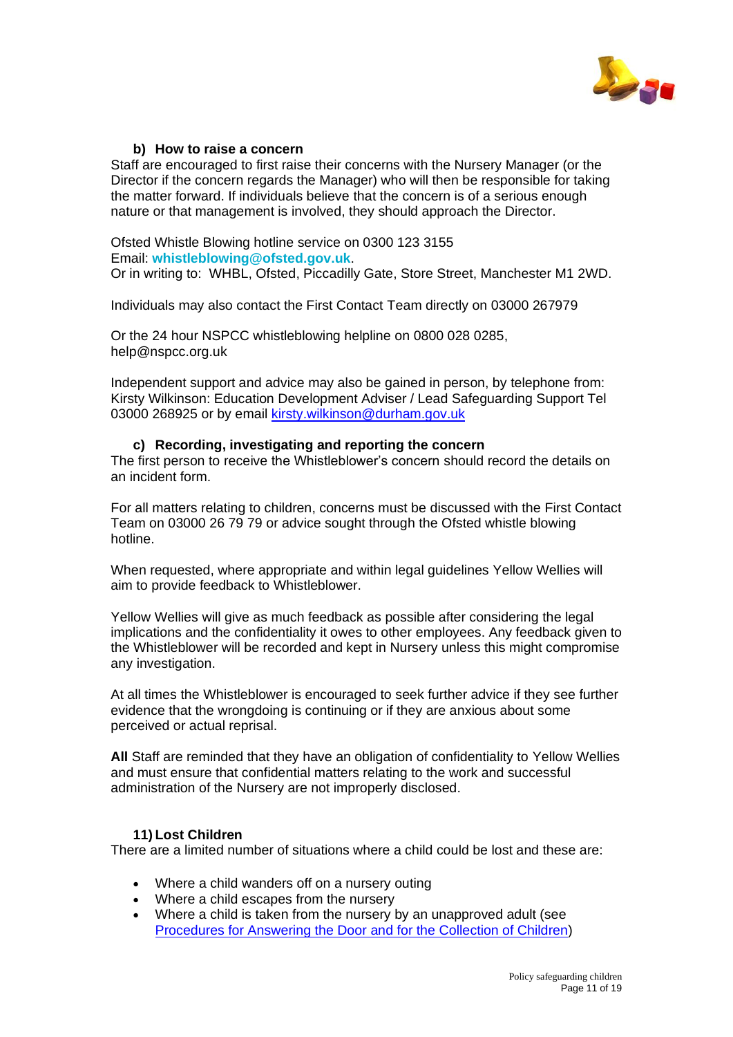

## **b) How to raise a concern**

Staff are encouraged to first raise their concerns with the Nursery Manager (or the Director if the concern regards the Manager) who will then be responsible for taking the matter forward. If individuals believe that the concern is of a serious enough nature or that management is involved, they should approach the Director.

Ofsted Whistle Blowing hotline service on 0300 123 3155 Email: **[whistleblowing@ofsted.gov.uk](mailto:whistleblowing@ofsted.gov.uk)**. Or in writing to: WHBL, Ofsted, Piccadilly Gate, Store Street, Manchester M1 2WD.

Individuals may also contact the First Contact Team directly on 03000 267979

Or the 24 hour NSPCC whistleblowing helpline on 0800 028 0285, help@nspcc.org.uk

Independent support and advice may also be gained in person, by telephone from: Kirsty Wilkinson: Education Development Adviser / Lead Safeguarding Support Tel 03000 268925 or by email [kirsty.wilkinson@durham.gov.uk](mailto:kirsty.wilkinson@durham.gov.uk)

# **c) Recording, investigating and reporting the concern**

The first person to receive the Whistleblower's concern should record the details on an incident form.

For all matters relating to children, concerns must be discussed with the First Contact Team on 03000 26 79 79 or advice sought through the Ofsted whistle blowing hotline.

When requested, where appropriate and within legal guidelines Yellow Wellies will aim to provide feedback to Whistleblower.

Yellow Wellies will give as much feedback as possible after considering the legal implications and the confidentiality it owes to other employees. Any feedback given to the Whistleblower will be recorded and kept in Nursery unless this might compromise any investigation.

At all times the Whistleblower is encouraged to seek further advice if they see further evidence that the wrongdoing is continuing or if they are anxious about some perceived or actual reprisal.

**All** Staff are reminded that they have an obligation of confidentiality to Yellow Wellies and must ensure that confidential matters relating to the work and successful administration of the Nursery are not improperly disclosed.

# **11) Lost Children**

There are a limited number of situations where a child could be lost and these are:

- Where a child wanders off on a nursery outing
- Where a child escapes from the nursery
- Where a child is taken from the nursery by an unapproved adult (see [Procedures for Answering the Door](http://internal.bath.ac.uk/nursery/policy/collectchild.html) and for the Collection of Children)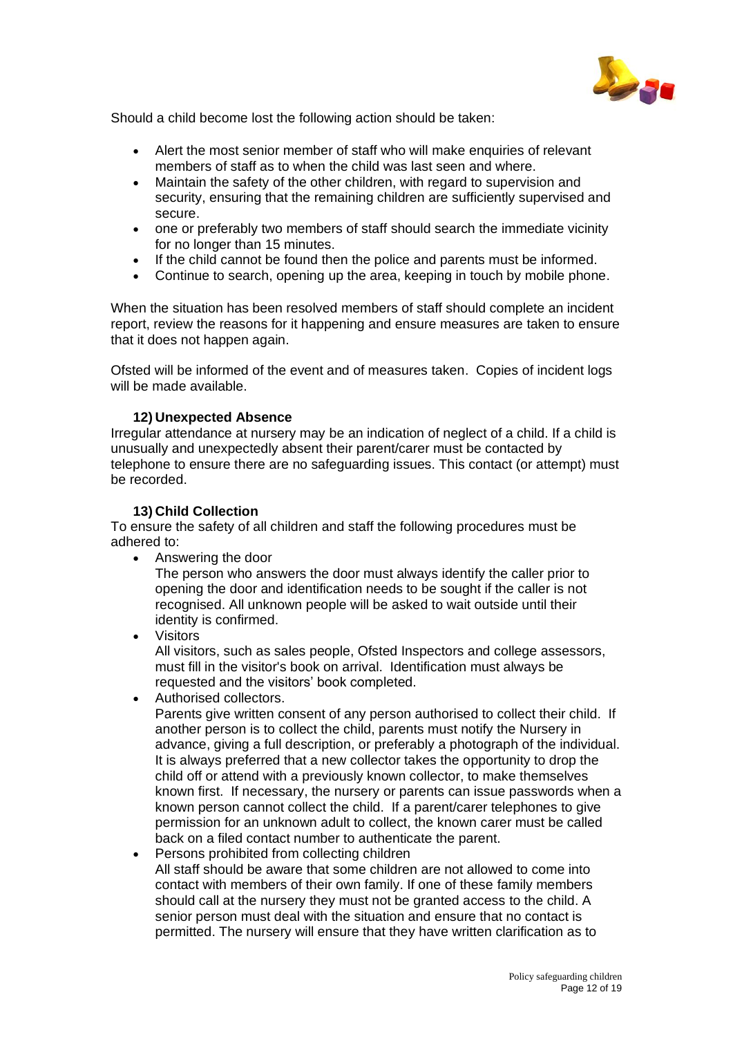

Should a child become lost the following action should be taken:

- Alert the most senior member of staff who will make enquiries of relevant members of staff as to when the child was last seen and where.
- Maintain the safety of the other children, with regard to supervision and security, ensuring that the remaining children are sufficiently supervised and secure.
- one or preferably two members of staff should search the immediate vicinity for no longer than 15 minutes.
- If the child cannot be found then the police and parents must be informed.
- Continue to search, opening up the area, keeping in touch by mobile phone.

When the situation has been resolved members of staff should complete an incident report, review the reasons for it happening and ensure measures are taken to ensure that it does not happen again.

Ofsted will be informed of the event and of measures taken. Copies of incident logs will be made available.

## **12) Unexpected Absence**

Irregular attendance at nursery may be an indication of neglect of a child. If a child is unusually and unexpectedly absent their parent/carer must be contacted by telephone to ensure there are no safeguarding issues. This contact (or attempt) must be recorded.

## **13) Child Collection**

To ensure the safety of all children and staff the following procedures must be adhered to:

• Answering the door

The person who answers the door must always identify the caller prior to opening the door and identification needs to be sought if the caller is not recognised. All unknown people will be asked to wait outside until their identity is confirmed.

• Visitors

All visitors, such as sales people, Ofsted Inspectors and college assessors, must fill in the visitor's book on arrival. Identification must always be requested and the visitors' book completed.

• Authorised collectors.

Parents give written consent of any person authorised to collect their child. If another person is to collect the child, parents must notify the Nursery in advance, giving a full description, or preferably a photograph of the individual. It is always preferred that a new collector takes the opportunity to drop the child off or attend with a previously known collector, to make themselves known first. If necessary, the nursery or parents can issue passwords when a known person cannot collect the child. If a parent/carer telephones to give permission for an unknown adult to collect, the known carer must be called back on a filed contact number to authenticate the parent.

• Persons prohibited from collecting children All staff should be aware that some children are not allowed to come into contact with members of their own family. If one of these family members should call at the nursery they must not be granted access to the child. A senior person must deal with the situation and ensure that no contact is permitted. The nursery will ensure that they have written clarification as to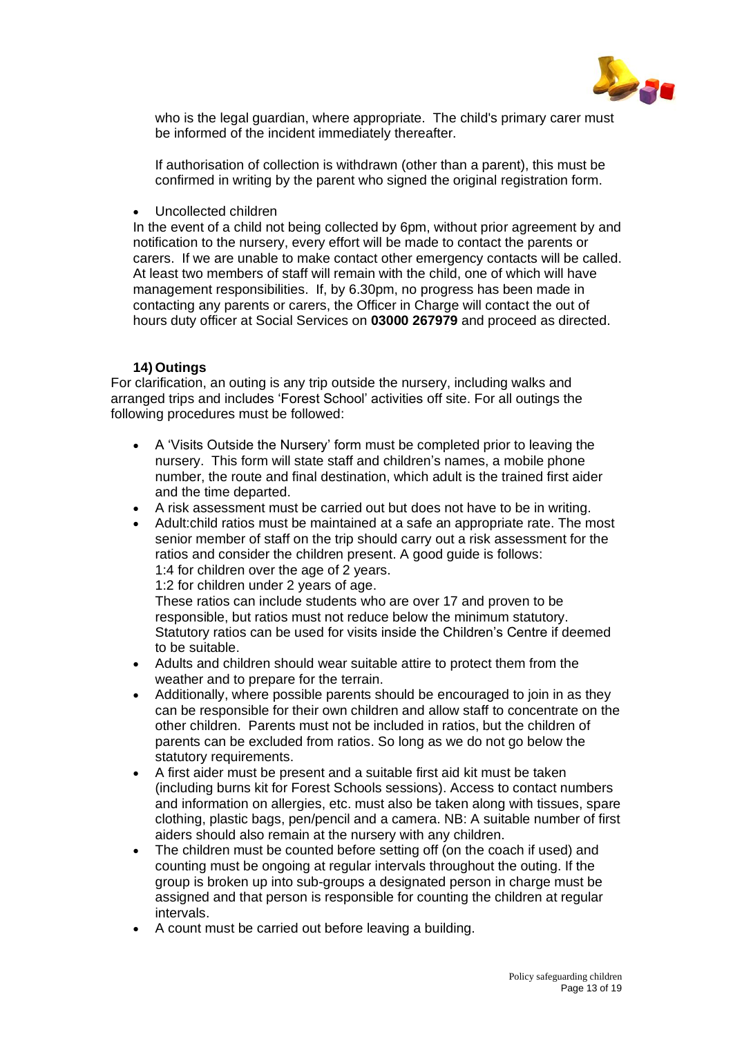

who is the legal guardian, where appropriate. The child's primary carer must be informed of the incident immediately thereafter.

If authorisation of collection is withdrawn (other than a parent), this must be confirmed in writing by the parent who signed the original registration form.

• Uncollected children

In the event of a child not being collected by 6pm, without prior agreement by and notification to the nursery, every effort will be made to contact the parents or carers. If we are unable to make contact other emergency contacts will be called. At least two members of staff will remain with the child, one of which will have management responsibilities. If, by 6.30pm, no progress has been made in contacting any parents or carers, the Officer in Charge will contact the out of hours duty officer at Social Services on **03000 267979** and proceed as directed.

# **14) Outings**

For clarification, an outing is any trip outside the nursery, including walks and arranged trips and includes 'Forest School' activities off site. For all outings the following procedures must be followed:

- A 'Visits Outside the Nursery' form must be completed prior to leaving the nursery. This form will state staff and children's names, a mobile phone number, the route and final destination, which adult is the trained first aider and the time departed.
- A risk assessment must be carried out but does not have to be in writing.
- Adult:child ratios must be maintained at a safe an appropriate rate. The most senior member of staff on the trip should carry out a risk assessment for the ratios and consider the children present. A good guide is follows: 1:4 for children over the age of 2 years.

1:2 for children under 2 years of age.

These ratios can include students who are over 17 and proven to be responsible, but ratios must not reduce below the minimum statutory. Statutory ratios can be used for visits inside the Children's Centre if deemed to be suitable.

- Adults and children should wear suitable attire to protect them from the weather and to prepare for the terrain.
- Additionally, where possible parents should be encouraged to join in as they can be responsible for their own children and allow staff to concentrate on the other children. Parents must not be included in ratios, but the children of parents can be excluded from ratios. So long as we do not go below the statutory requirements.
- A first aider must be present and a suitable first aid kit must be taken (including burns kit for Forest Schools sessions). Access to contact numbers and information on allergies, etc. must also be taken along with tissues, spare clothing, plastic bags, pen/pencil and a camera. NB: A suitable number of first aiders should also remain at the nursery with any children.
- The children must be counted before setting off (on the coach if used) and counting must be ongoing at regular intervals throughout the outing. If the group is broken up into sub-groups a designated person in charge must be assigned and that person is responsible for counting the children at regular intervals.
- A count must be carried out before leaving a building.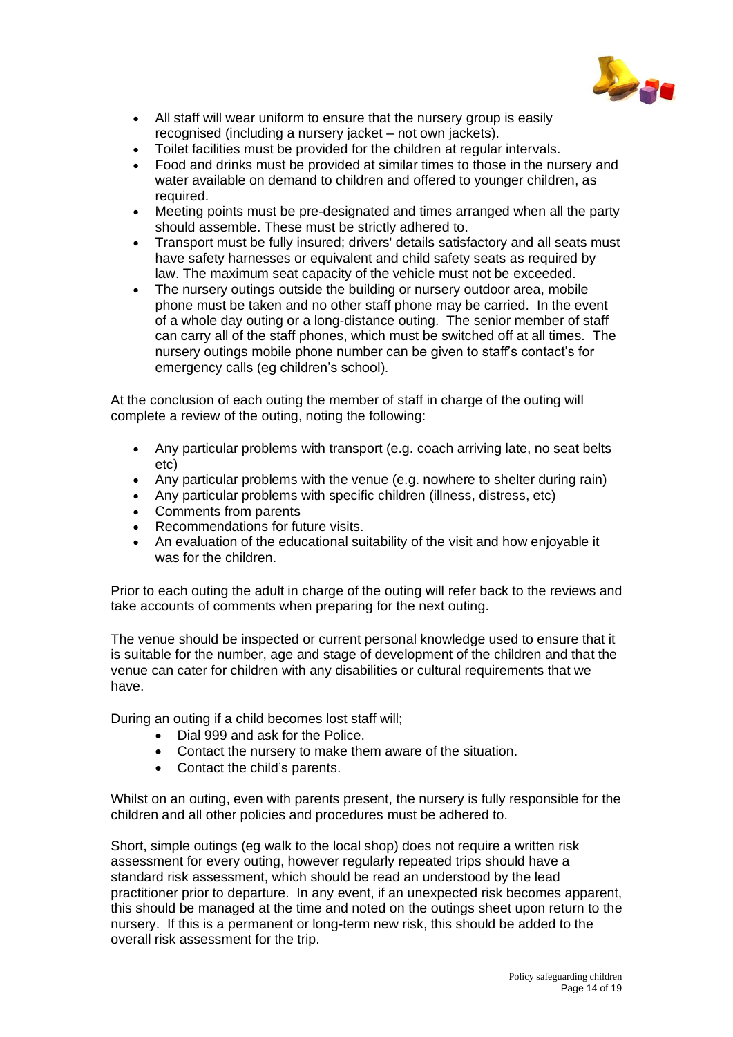

- All staff will wear uniform to ensure that the nursery group is easily recognised (including a nursery jacket – not own jackets).
- Toilet facilities must be provided for the children at regular intervals.
- Food and drinks must be provided at similar times to those in the nursery and water available on demand to children and offered to younger children, as required.
- Meeting points must be pre-designated and times arranged when all the party should assemble. These must be strictly adhered to.
- Transport must be fully insured; drivers' details satisfactory and all seats must have safety harnesses or equivalent and child safety seats as required by law. The maximum seat capacity of the vehicle must not be exceeded.
- The nursery outings outside the building or nursery outdoor area, mobile phone must be taken and no other staff phone may be carried. In the event of a whole day outing or a long-distance outing. The senior member of staff can carry all of the staff phones, which must be switched off at all times. The nursery outings mobile phone number can be given to staff's contact's for emergency calls (eg children's school).

At the conclusion of each outing the member of staff in charge of the outing will complete a review of the outing, noting the following:

- Any particular problems with transport (e.g. coach arriving late, no seat belts etc)
- Any particular problems with the venue (e.g. nowhere to shelter during rain)
- Any particular problems with specific children (illness, distress, etc)
- Comments from parents
- Recommendations for future visits.
- An evaluation of the educational suitability of the visit and how enjoyable it was for the children.

Prior to each outing the adult in charge of the outing will refer back to the reviews and take accounts of comments when preparing for the next outing.

The venue should be inspected or current personal knowledge used to ensure that it is suitable for the number, age and stage of development of the children and that the venue can cater for children with any disabilities or cultural requirements that we have.

During an outing if a child becomes lost staff will;

- Dial 999 and ask for the Police.
- Contact the nursery to make them aware of the situation.
- Contact the child's parents.

Whilst on an outing, even with parents present, the nursery is fully responsible for the children and all other policies and procedures must be adhered to.

Short, simple outings (eg walk to the local shop) does not require a written risk assessment for every outing, however regularly repeated trips should have a standard risk assessment, which should be read an understood by the lead practitioner prior to departure. In any event, if an unexpected risk becomes apparent, this should be managed at the time and noted on the outings sheet upon return to the nursery. If this is a permanent or long-term new risk, this should be added to the overall risk assessment for the trip.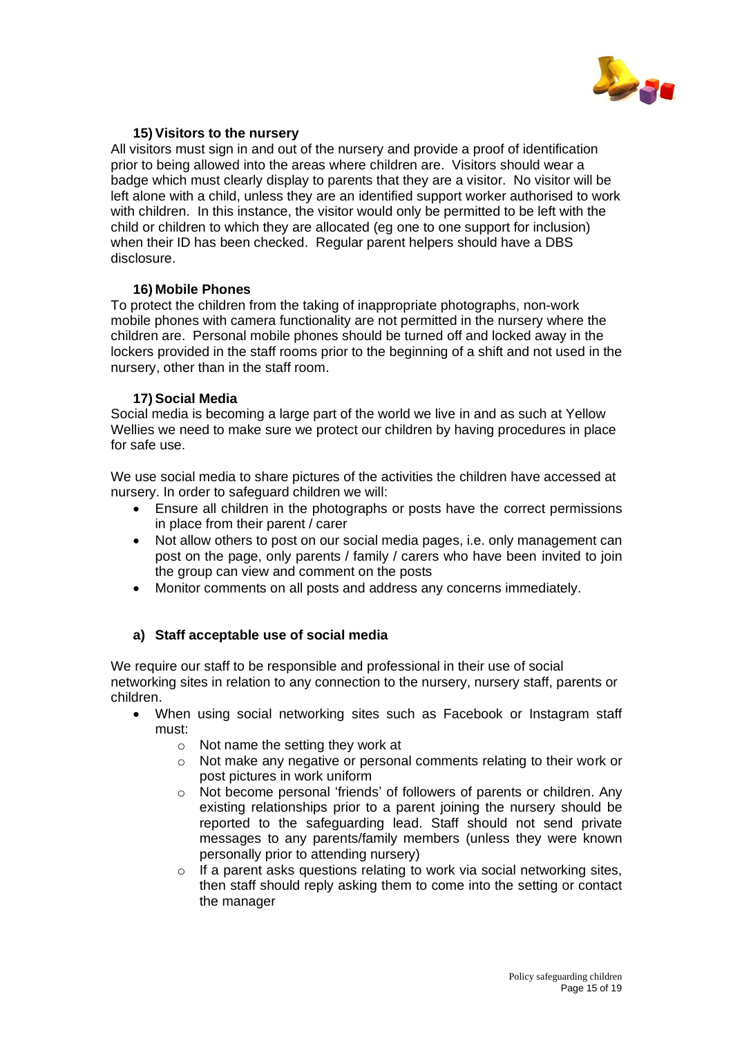

# **15) Visitors to the nursery**

All visitors must sign in and out of the nursery and provide a proof of identification prior to being allowed into the areas where children are. Visitors should wear a badge which must clearly display to parents that they are a visitor. No visitor will be left alone with a child, unless they are an identified support worker authorised to work with children. In this instance, the visitor would only be permitted to be left with the child or children to which they are allocated (eg one to one support for inclusion) when their ID has been checked. Regular parent helpers should have a DBS disclosure.

## **16) Mobile Phones**

To protect the children from the taking of inappropriate photographs, non-work mobile phones with camera functionality are not permitted in the nursery where the children are. Personal mobile phones should be turned off and locked away in the lockers provided in the staff rooms prior to the beginning of a shift and not used in the nursery, other than in the staff room.

# **17) Social Media**

Social media is becoming a large part of the world we live in and as such at Yellow Wellies we need to make sure we protect our children by having procedures in place for safe use.

We use social media to share pictures of the activities the children have accessed at nursery. In order to safeguard children we will:

- Ensure all children in the photographs or posts have the correct permissions in place from their parent / carer
- Not allow others to post on our social media pages, i.e. only management can post on the page, only parents / family / carers who have been invited to join the group can view and comment on the posts
- Monitor comments on all posts and address any concerns immediately.

# **a) Staff acceptable use of social media**

We require our staff to be responsible and professional in their use of social networking sites in relation to any connection to the nursery, nursery staff, parents or children.

- When using social networking sites such as Facebook or Instagram staff must:
	- o Not name the setting they work at
	- o Not make any negative or personal comments relating to their work or post pictures in work uniform
	- o Not become personal 'friends' of followers of parents or children. Any existing relationships prior to a parent joining the nursery should be reported to the safeguarding lead. Staff should not send private messages to any parents/family members (unless they were known personally prior to attending nursery)
	- o If a parent asks questions relating to work via social networking sites, then staff should reply asking them to come into the setting or contact the manager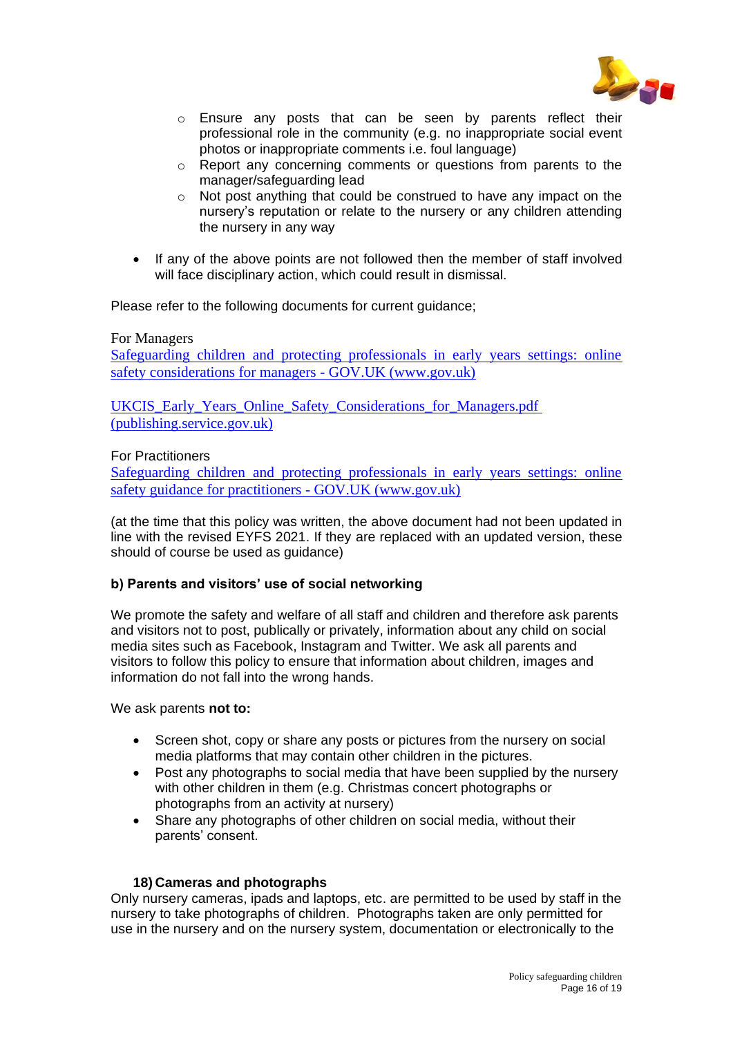

- o Ensure any posts that can be seen by parents reflect their professional role in the community (e.g. no inappropriate social event photos or inappropriate comments i.e. foul language)
- o Report any concerning comments or questions from parents to the manager/safeguarding lead
- o Not post anything that could be construed to have any impact on the nursery's reputation or relate to the nursery or any children attending the nursery in any way
- If any of the above points are not followed then the member of staff involved will face disciplinary action, which could result in dismissal.

Please refer to the following documents for current guidance;

#### For Managers

Safeguarding children and protecting professionals in early years settings: online safety considerations for managers - GOV.UK (www.gov.uk)

UKCIS Early Years Online Safety Considerations for Managers.pdf [\(publishing.service.gov.uk\)](https://assets.publishing.service.gov.uk/government/uploads/system/uploads/attachment_data/file/776470/UKCIS_Early_Years_Online_Safety_Considerations_for_Managers.pdf)

# For Practitioners

Safeguarding children [and protecting professionals in early years settings: online](https://www.gov.uk/government/publications/safeguarding-children-and-protecting-professionals-in-early-years-settings-online-safety-considerations/safeguarding-children-and-protecting-professionals-in-early-years-settings-online-safety-guidance-for-practitioners)  [safety guidance for practitioners -](https://www.gov.uk/government/publications/safeguarding-children-and-protecting-professionals-in-early-years-settings-online-safety-considerations/safeguarding-children-and-protecting-professionals-in-early-years-settings-online-safety-guidance-for-practitioners) GOV.UK (www.gov.uk)

(at the time that this policy was written, the above document had not been updated in line with the revised EYFS 2021. If they are replaced with an updated version, these should of course be used as guidance)

#### **b) Parents and visitors' use of social networking**

We promote the safety and welfare of all staff and children and therefore ask parents and visitors not to post, publically or privately, information about any child on social media sites such as Facebook, Instagram and Twitter. We ask all parents and visitors to follow this policy to ensure that information about children, images and information do not fall into the wrong hands.

We ask parents **not to:**

- Screen shot, copy or share any posts or pictures from the nursery on social media platforms that may contain other children in the pictures.
- Post any photographs to social media that have been supplied by the nursery with other children in them (e.g. Christmas concert photographs or photographs from an activity at nursery)
- Share any photographs of other children on social media, without their parents' consent.

## **18) Cameras and photographs**

Only nursery cameras, ipads and laptops, etc. are permitted to be used by staff in the nursery to take photographs of children. Photographs taken are only permitted for use in the nursery and on the nursery system, documentation or electronically to the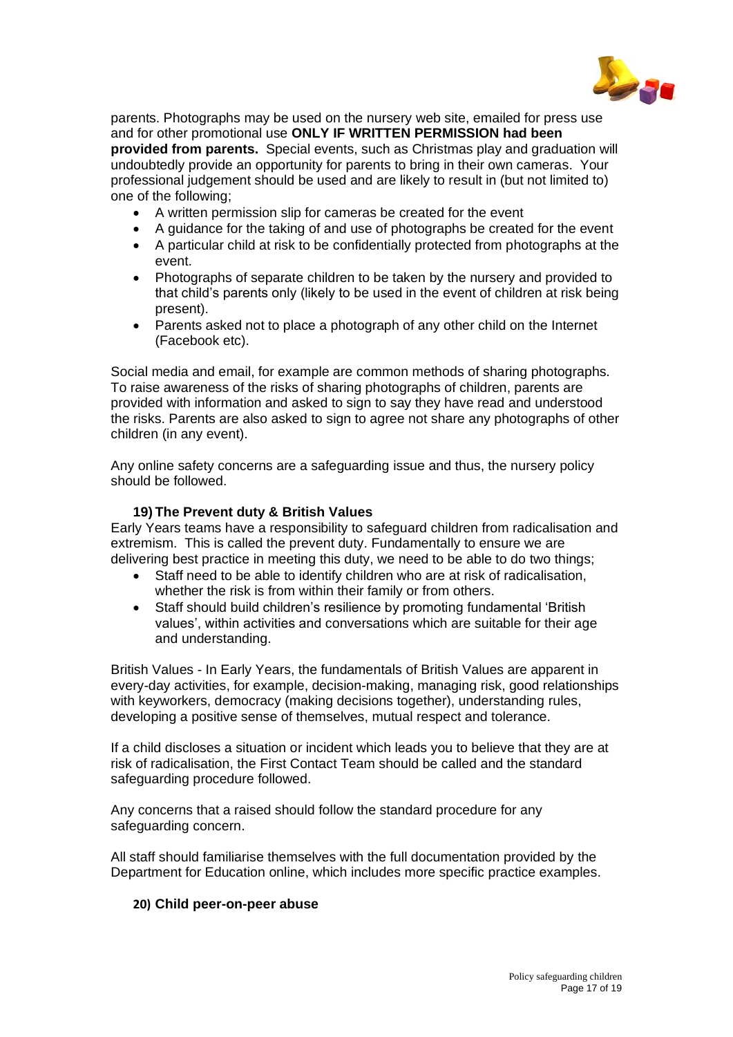

parents. Photographs may be used on the nursery web site, emailed for press use and for other promotional use **ONLY IF WRITTEN PERMISSION had been provided from parents.** Special events, such as Christmas play and graduation will undoubtedly provide an opportunity for parents to bring in their own cameras. Your professional judgement should be used and are likely to result in (but not limited to) one of the following;

- A written permission slip for cameras be created for the event
- A guidance for the taking of and use of photographs be created for the event
- A particular child at risk to be confidentially protected from photographs at the event.
- Photographs of separate children to be taken by the nursery and provided to that child's parents only (likely to be used in the event of children at risk being present).
- Parents asked not to place a photograph of any other child on the Internet (Facebook etc).

Social media and email, for example are common methods of sharing photographs. To raise awareness of the risks of sharing photographs of children, parents are provided with information and asked to sign to say they have read and understood the risks. Parents are also asked to sign to agree not share any photographs of other children (in any event).

Any online safety concerns are a safeguarding issue and thus, the nursery policy should be followed.

# **19) The Prevent duty & British Values**

Early Years teams have a responsibility to safeguard children from radicalisation and extremism. This is called the prevent duty. Fundamentally to ensure we are delivering best practice in meeting this duty, we need to be able to do two things;

- Staff need to be able to identify children who are at risk of radicalisation, whether the risk is from within their family or from others.
- Staff should build children's resilience by promoting fundamental 'British values', within activities and conversations which are suitable for their age and understanding.

British Values - In Early Years, the fundamentals of British Values are apparent in every-day activities, for example, decision-making, managing risk, good relationships with keyworkers, democracy (making decisions together), understanding rules, developing a positive sense of themselves, mutual respect and tolerance.

If a child discloses a situation or incident which leads you to believe that they are at risk of radicalisation, the First Contact Team should be called and the standard safeguarding procedure followed.

Any concerns that a raised should follow the standard procedure for any safeguarding concern.

All staff should familiarise themselves with the full documentation provided by the Department for Education online, which includes more specific practice examples.

# **20) Child peer-on-peer abuse**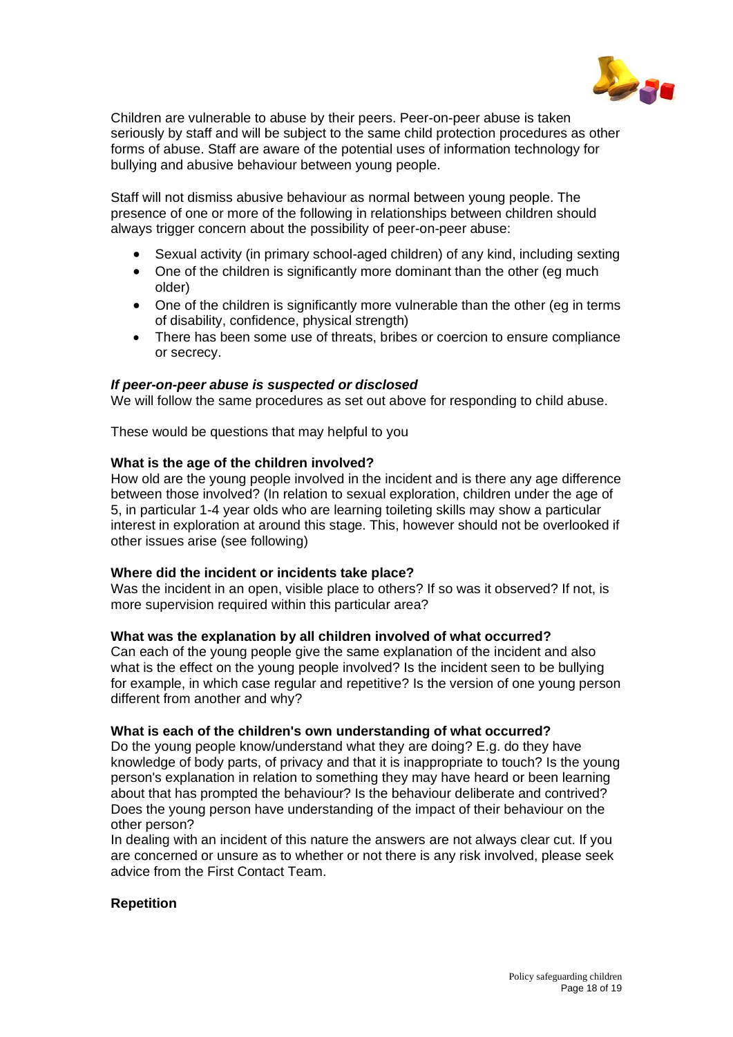

Children are vulnerable to abuse by their peers. Peer-on-peer abuse is taken seriously by staff and will be subject to the same child protection procedures as other forms of abuse. Staff are aware of the potential uses of information technology for bullying and abusive behaviour between young people.

Staff will not dismiss abusive behaviour as normal between young people. The presence of one or more of the following in relationships between children should always trigger concern about the possibility of peer-on-peer abuse:

- Sexual activity (in primary school-aged children) of any kind, including sexting
- One of the children is significantly more dominant than the other (eg much older)
- One of the children is significantly more vulnerable than the other (eg in terms) of disability, confidence, physical strength)
- There has been some use of threats, bribes or coercion to ensure compliance or secrecy.

## *If peer-on-peer abuse is suspected or disclosed*

We will follow the same procedures as set out above for responding to child abuse.

These would be questions that may helpful to you

#### **What is the age of the children involved?**

How old are the young people involved in the incident and is there any age difference between those involved? (In relation to sexual exploration, children under the age of 5, in particular 1-4 year olds who are learning toileting skills may show a particular interest in exploration at around this stage. This, however should not be overlooked if other issues arise (see following)

#### **Where did the incident or incidents take place?**

Was the incident in an open, visible place to others? If so was it observed? If not, is more supervision required within this particular area?

#### **What was the explanation by all children involved of what occurred?**

Can each of the young people give the same explanation of the incident and also what is the effect on the young people involved? Is the incident seen to be bullying for example, in which case regular and repetitive? Is the version of one young person different from another and why?

#### **What is each of the children's own understanding of what occurred?**

Do the young people know/understand what they are doing? E.g. do they have knowledge of body parts, of privacy and that it is inappropriate to touch? Is the young person's explanation in relation to something they may have heard or been learning about that has prompted the behaviour? Is the behaviour deliberate and contrived? Does the young person have understanding of the impact of their behaviour on the other person?

In dealing with an incident of this nature the answers are not always clear cut. If you are concerned or unsure as to whether or not there is any risk involved, please seek advice from the First Contact Team.

#### **Repetition**